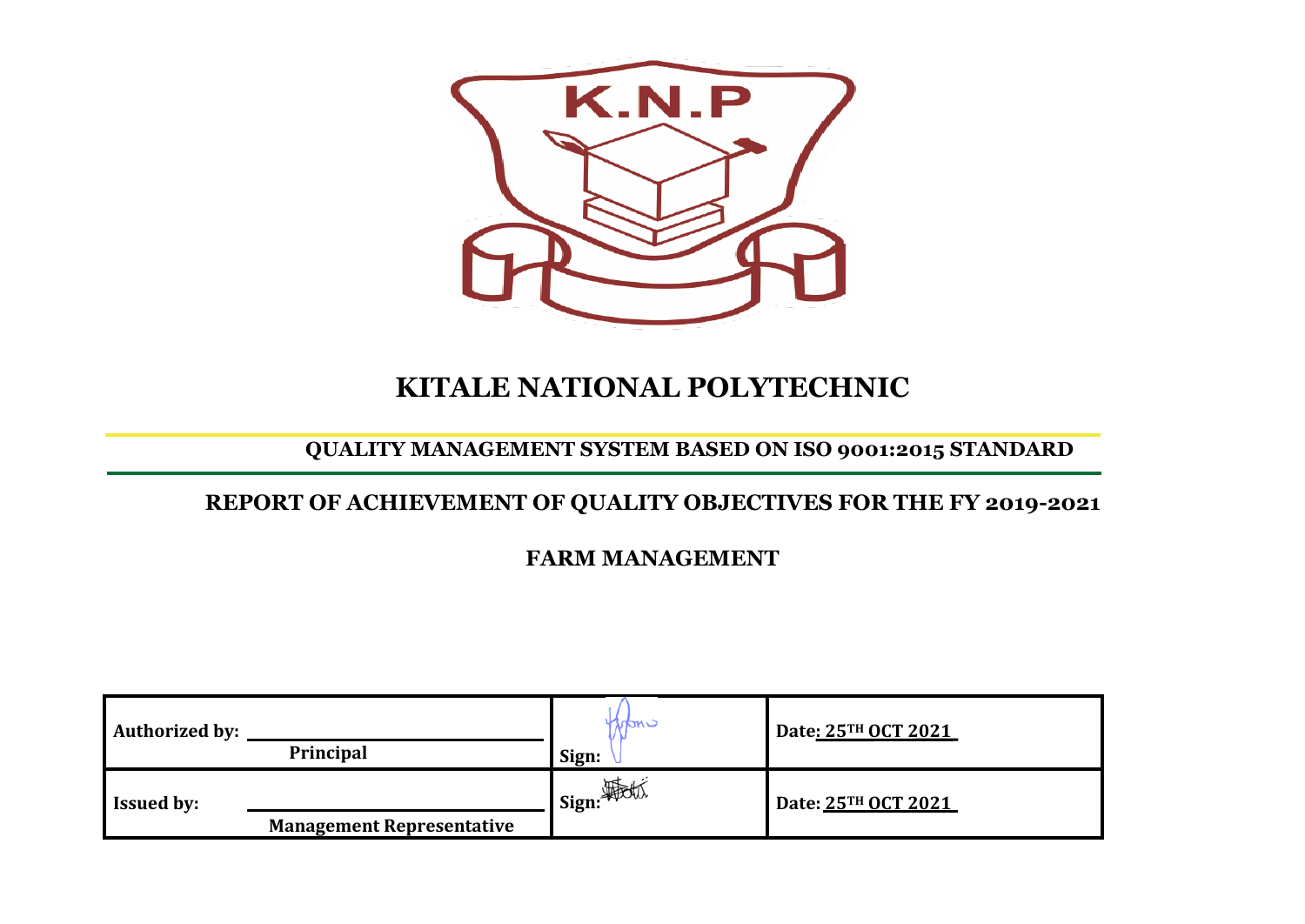

# **KITALE NATIONAL POLYTECHNIC**

### **QUALITY MANAGEMENT SYSTEM BASED ON ISO 9001:2015 STANDARD**

## **REPORT OF ACHIEVEMENT OF QUALITY OBJECTIVES FOR THE FY 2019-2021**

**FARM MANAGEMENT** 

| <b>Authorized by:</b> | Principal                        | ndur,<br>Sign: | Date: 25TH OCT 2021 |
|-----------------------|----------------------------------|----------------|---------------------|
| <b>Issued by:</b>     | <b>Management Representative</b> |                | Date: 25TH OCT 2021 |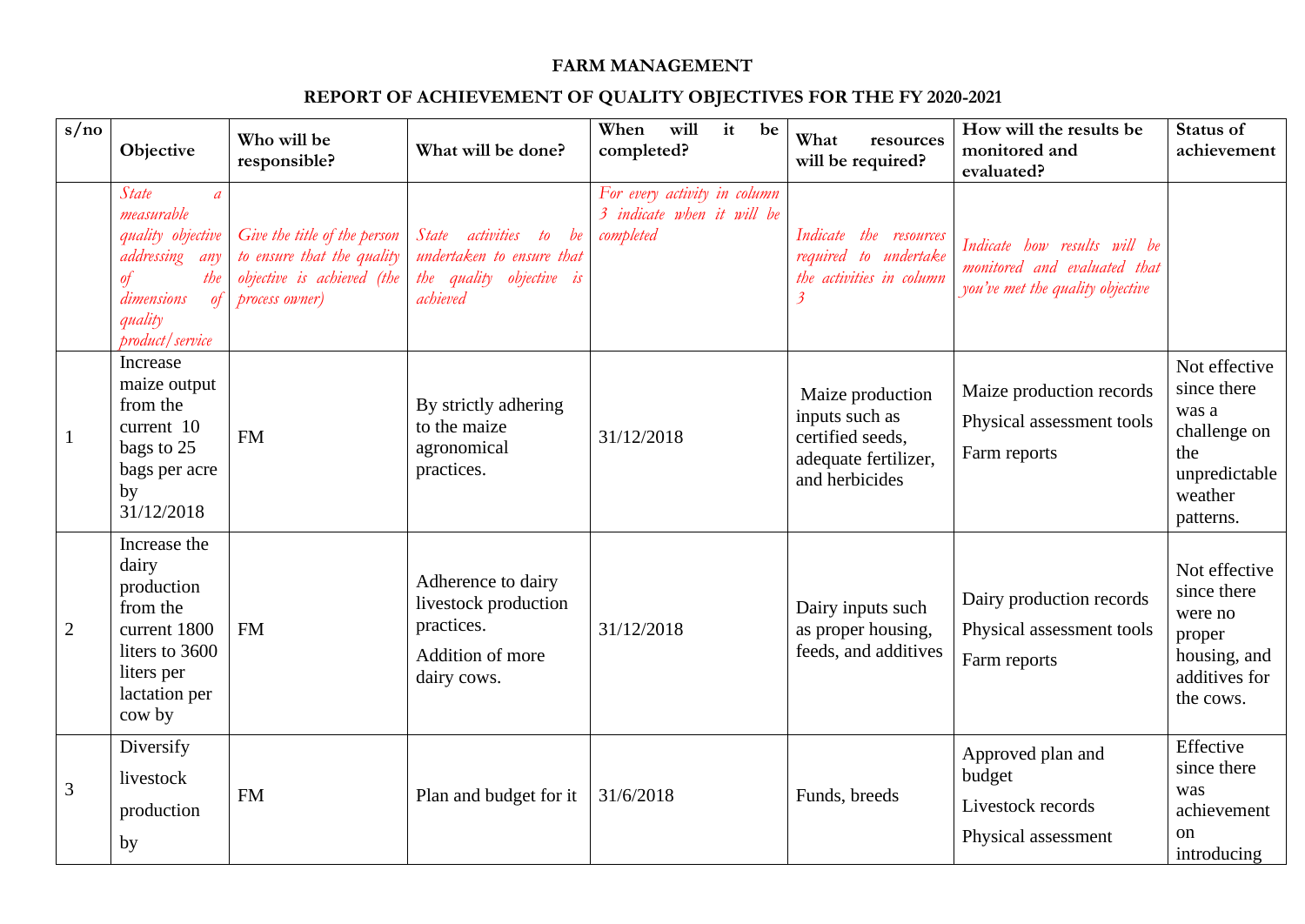### **FARM MANAGEMENT**

#### **REPORT OF ACHIEVEMENT OF QUALITY OBJECTIVES FOR THE FY 2020-2021**

| s/no         | Objective                                                                                                                                                             | Who will be<br>responsible?                                                                                | What will be done?                                                                             | When<br>will<br>it<br>be<br>completed?                                  | What<br>resources<br>will be required?                                                           | How will the results be<br>monitored and<br>evaluated?                                           | Status of<br>achievement                                                                              |
|--------------|-----------------------------------------------------------------------------------------------------------------------------------------------------------------------|------------------------------------------------------------------------------------------------------------|------------------------------------------------------------------------------------------------|-------------------------------------------------------------------------|--------------------------------------------------------------------------------------------------|--------------------------------------------------------------------------------------------------|-------------------------------------------------------------------------------------------------------|
|              | <b>State</b><br>$\overline{a}$<br>measurable<br>quality objective<br>addressing<br>any<br>the<br>$\omega f$<br>dimensions<br>$\theta$<br>quality<br>product / service | Give the title of the person<br>to ensure that the quality<br>objective is achieved (the<br>process owner) | State activities to<br>be<br>undertaken to ensure that<br>the quality objective is<br>achieved | For every activity in column<br>3 indicate when it will be<br>completed | Indicate the resources<br>required to undertake<br>the activities in column                      | Indicate how results will be<br>monitored and evaluated that<br>you've met the quality objective |                                                                                                       |
|              | Increase<br>maize output<br>from the<br>current 10<br>bags to 25<br>bags per acre<br>by<br>31/12/2018                                                                 | <b>FM</b>                                                                                                  | By strictly adhering<br>to the maize<br>agronomical<br>practices.                              | 31/12/2018                                                              | Maize production<br>inputs such as<br>certified seeds,<br>adequate fertilizer,<br>and herbicides | Maize production records<br>Physical assessment tools<br>Farm reports                            | Not effective<br>since there<br>was a<br>challenge on<br>the<br>unpredictable<br>weather<br>patterns. |
| $\mathbf{2}$ | Increase the<br>dairy<br>production<br>from the<br>current 1800<br>liters to 3600<br>liters per<br>lactation per<br>cow by                                            | <b>FM</b>                                                                                                  | Adherence to dairy<br>livestock production<br>practices.<br>Addition of more<br>dairy cows.    | 31/12/2018                                                              | Dairy inputs such<br>as proper housing,<br>feeds, and additives                                  | Dairy production records<br>Physical assessment tools<br>Farm reports                            | Not effective<br>since there<br>were no<br>proper<br>housing, and<br>additives for<br>the cows.       |
| 3            | Diversify<br>livestock<br>production<br>by                                                                                                                            | <b>FM</b>                                                                                                  | Plan and budget for it                                                                         | 31/6/2018                                                               | Funds, breeds                                                                                    | Approved plan and<br>budget<br>Livestock records<br>Physical assessment                          | Effective<br>since there<br>was<br>achievement<br>on<br>introducing                                   |